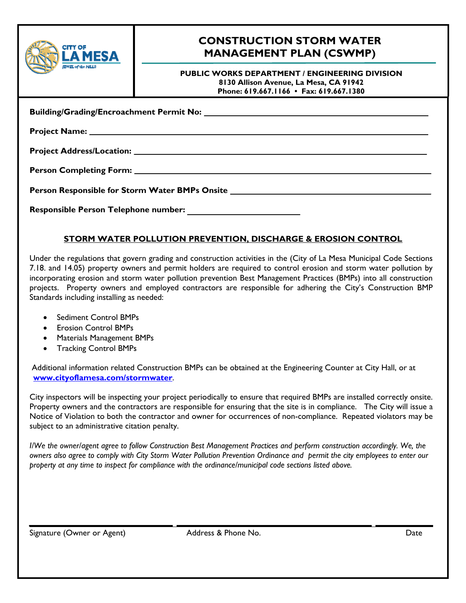|  | <b>CITY OF</b>            |
|--|---------------------------|
|  | <b>JEWEL of the MILLS</b> |

# **CONSTRUCTION STORM WATER MANAGEMENT PLAN (CSWMP)**

**PUBLIC WORKS DEPARTMENT / ENGINEERING DIVISION 8130 Allison Avenue, La Mesa, CA 91942 Phone: 619.667.1166 • Fax: 619.667.1380**

**Building/Grading/Encroachment Permit No: \_\_\_\_\_\_\_\_\_\_\_\_\_\_\_\_\_\_\_\_\_\_\_\_\_**

**Project Name: \_\_\_\_\_\_\_\_\_\_\_\_\_\_\_\_\_\_\_\_\_\_\_\_\_\_\_\_\_\_\_\_\_\_\_\_\_\_\_\_\_\_\_\_\_\_\_\_\_\_\_\_\_\_\_\_\_\_\_\_\_\_\_\_\_\_\_\_\_\_\_\_\_\_\_\_\_\_\_\_\_** 

**Project Address/Location: \_\_\_\_\_\_\_\_\_\_\_\_\_\_\_\_\_\_\_\_\_\_\_\_\_\_\_\_\_\_\_\_\_\_\_\_\_\_\_\_\_\_\_\_\_\_\_\_\_\_\_\_\_\_\_\_\_\_\_\_\_\_\_\_\_\_\_\_\_\_** 

**Person Completing Form: \_\_\_\_\_\_\_\_\_\_\_\_\_\_\_\_\_\_\_\_\_\_\_\_\_\_\_\_\_\_\_\_\_\_\_\_\_\_\_\_\_\_\_\_\_\_\_\_\_\_\_\_\_\_\_\_\_\_\_\_\_\_\_\_\_\_\_\_\_\_\_** 

**Person Responsible for Storm Water BMPs Onsite \_\_\_\_\_\_\_\_\_\_\_\_\_\_\_\_\_\_\_\_\_\_\_\_\_\_\_\_\_\_\_\_\_\_\_\_\_\_\_\_\_\_\_\_\_\_\_\_**

Responsible Person Telephone number:

### **STORM WATER POLLUTION PREVENTION, DISCHARGE & EROSION CONTROL**

Under the regulations that govern grading and construction activities in the (City of La Mesa Municipal Code Sections 7.18. and 14.05) property owners and permit holders are required to control erosion and storm water pollution by incorporating erosion and storm water pollution prevention Best Management Practices (BMPs) into all construction projects. Property owners and employed contractors are responsible for adhering the City's Construction BMP Standards including installing as needed:

- Sediment Control BMPs
- Erosion Control BMPs
- Materials Management BMPs
- Tracking Control BMPs

 Additional information related Construction BMPs can be obtained at the Engineering Counter at City Hall, or at **www.cityoflamesa.com/stormwater**.

City inspectors will be inspecting your project periodically to ensure that required BMPs are installed correctly onsite. Property owners and the contractors are responsible for ensuring that the site is in compliance. The City will issue a Notice of Violation to both the contractor and owner for occurrences of non-compliance. Repeated violators may be subject to an administrative citation penalty.

*I/We the owner/agent agree to follow Construction Best Management Practices and perform construction accordingly. We, the owners also agree to comply with City Storm Water Pollution Prevention Ordinance and permit the city employees to enter our property at any time to inspect for compliance with the ordinance/municipal code sections listed above.* 

L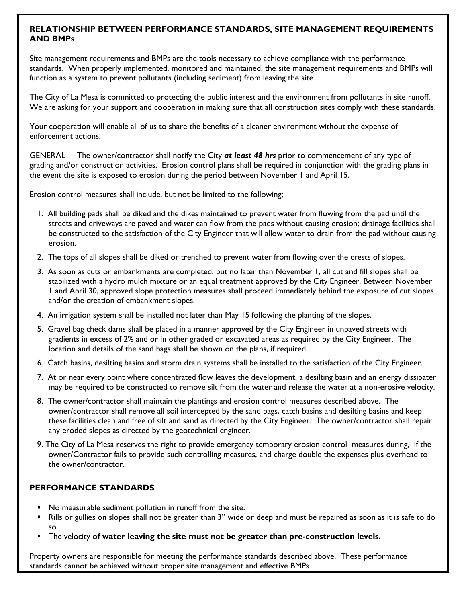#### **RELATIONSHIP BETWEEN PERFORMANCE STANDARDS, SITE MANAGEMENT REQUIREMENTS AND BMPs**

Site management requirements and BMPs are the tools necessary to achieve compliance with the performance standards. When properly implemented, monitored and maintained, the site management requirements and BMPs will function as a system to prevent pollutants (including sediment) from leaving the site.

The City of La Mesa is committed to protecting the public interest and the environment from pollutants in site runoff. We are asking for your support and cooperation in making sure that all construction sites comply with these standards.

Your cooperation will enable all of us to share the benefits of a cleaner environment without the expense of enforcement actions.

GENERAL The owner/contractor shall notify the City *at least 48 hrs* prior to commencement of any type of grading and/or construction activities. Erosion control plans shall be required in conjunction with the grading plans in the event the site is exposed to erosion during the period between November 1 and April 15.

Erosion control measures shall include, but not be limited to the following;

- 1. All building pads shall be diked and the dikes maintained to prevent water from flowing from the pad until the streets and driveways are paved and water can flow from the pads without causing erosion; drainage facilities shall be constructed to the satisfaction of the City Engineer that will allow water to drain from the pad without causing erosion.
- 2. The tops of all slopes shall be diked or trenched to prevent water from flowing over the crests of slopes.
- 3. As soon as cuts or embankments are completed, but no later than November 1, all cut and fill slopes shall be stabilized with a hydro mulch mixture or an equal treatment approved by the City Engineer. Between November 1 and April 30, approved slope protection measures shall proceed immediately behind the exposure of cut slopes and/or the creation of embankment slopes.
- 4. An irrigation system shall be installed not later than May 15 following the planting of the slopes.
- 5. Gravel bag check dams shall be placed in a manner approved by the City Engineer in unpaved streets with gradients in excess of 2% and or in other graded or excavated areas as required by the City Engineer. The location and details of the sand bags shall be shown on the plans, if required.
- 6. Catch basins, desilting basins and storm drain systems shall be installed to the satisfaction of the City Engineer.
- 7. At or near every point where concentrated flow leaves the development, a desilting basin and an energy dissipater may be required to be constructed to remove silt from the water and release the water at a non-erosive velocity.
- 8. The owner/contractor shall maintain the plantings and erosion control measures described above. The owner/contractor shall remove all soil intercepted by the sand bags, catch basins and desilting basins and keep these facilities clean and free of silt and sand as directed by the City Engineer. The owner/contractor shall repair any eroded slopes as directed by the geotechnical engineer.
- 9. The City of La Mesa reserves the right to provide emergency temporary erosion control measures during, if the owner/Contractor fails to provide such controlling measures, and charge double the expenses plus overhead to the owner/contractor.

#### **PERFORMANCE STANDARDS**

- No measurable sediment pollution in runoff from the site.
- Rills or gullies on slopes shall not be greater than 3" wide or deep and must be repaired as soon as it is safe to do so.
- The velocity **of water leaving the site must not be greater than pre-construction levels.**

Property owners are responsible for meeting the performance standards described above. These performance standards cannot be achieved without proper site management and effective BMPs.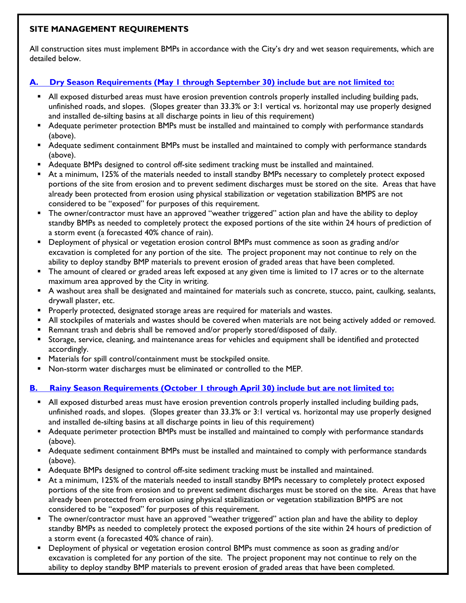### **SITE MANAGEMENT REQUIREMENTS**

All construction sites must implement BMPs in accordance with the City's dry and wet season requirements, which are detailed below.

## **A. Dry Season Requirements (May 1 through September 30) include but are not limited to:**

- All exposed disturbed areas must have erosion prevention controls properly installed including building pads, unfinished roads, and slopes. (Slopes greater than 33.3% or 3:1 vertical vs. horizontal may use properly designed and installed de-silting basins at all discharge points in lieu of this requirement)
- Adequate perimeter protection BMPs must be installed and maintained to comply with performance standards (above).
- Adequate sediment containment BMPs must be installed and maintained to comply with performance standards (above).
- Adequate BMPs designed to control off-site sediment tracking must be installed and maintained.
- At a minimum, 125% of the materials needed to install standby BMPs necessary to completely protect exposed portions of the site from erosion and to prevent sediment discharges must be stored on the site. Areas that have already been protected from erosion using physical stabilization or vegetation stabilization BMPS are not considered to be "exposed" for purposes of this requirement.
- The owner/contractor must have an approved "weather triggered" action plan and have the ability to deploy standby BMPs as needed to completely protect the exposed portions of the site within 24 hours of prediction of a storm event (a forecasted 40% chance of rain).
- Deployment of physical or vegetation erosion control BMPs must commence as soon as grading and/or excavation is completed for any portion of the site. The project proponent may not continue to rely on the ability to deploy standby BMP materials to prevent erosion of graded areas that have been completed.
- The amount of cleared or graded areas left exposed at any given time is limited to 17 acres or to the alternate maximum area approved by the City in writing.
- A washout area shall be designated and maintained for materials such as concrete, stucco, paint, caulking, sealants, drywall plaster, etc.
- **Properly protected, designated storage areas are required for materials and wastes.**
- All stockpiles of materials and wastes should be covered when materials are not being actively added or removed.
- Remnant trash and debris shall be removed and/or properly stored/disposed of daily.
- **Storage, service, cleaning, and maintenance areas for vehicles and equipment shall be identified and protected** accordingly.
- **Materials for spill control/containment must be stockpiled onsite.**
- Non-storm water discharges must be eliminated or controlled to the MEP.

### **B. Rainy Season Requirements (October 1 through April 30) include but are not limited to:**

- All exposed disturbed areas must have erosion prevention controls properly installed including building pads, unfinished roads, and slopes. (Slopes greater than 33.3% or 3:1 vertical vs. horizontal may use properly designed and installed de-silting basins at all discharge points in lieu of this requirement)
- Adequate perimeter protection BMPs must be installed and maintained to comply with performance standards (above).
- Adequate sediment containment BMPs must be installed and maintained to comply with performance standards (above).
- Adequate BMPs designed to control off-site sediment tracking must be installed and maintained.
- At a minimum, 125% of the materials needed to install standby BMPs necessary to completely protect exposed portions of the site from erosion and to prevent sediment discharges must be stored on the site. Areas that have already been protected from erosion using physical stabilization or vegetation stabilization BMPS are not considered to be "exposed" for purposes of this requirement.
- The owner/contractor must have an approved "weather triggered" action plan and have the ability to deploy standby BMPs as needed to completely protect the exposed portions of the site within 24 hours of prediction of a storm event (a forecasted 40% chance of rain).
- Deployment of physical or vegetation erosion control BMPs must commence as soon as grading and/or excavation is completed for any portion of the site. The project proponent may not continue to rely on the ability to deploy standby BMP materials to prevent erosion of graded areas that have been completed.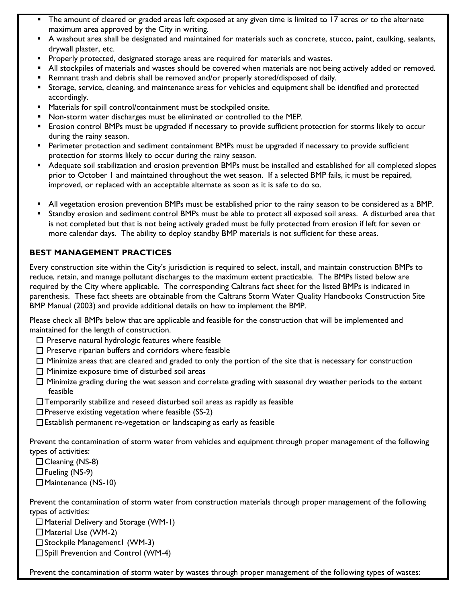- The amount of cleared or graded areas left exposed at any given time is limited to 17 acres or to the alternate maximum area approved by the City in writing.
- A washout area shall be designated and maintained for materials such as concrete, stucco, paint, caulking, sealants, drywall plaster, etc.
- Properly protected, designated storage areas are required for materials and wastes.
- All stockpiles of materials and wastes should be covered when materials are not being actively added or removed.
- **Remnant trash and debris shall be removed and/or properly stored/disposed of daily.**
- Storage, service, cleaning, and maintenance areas for vehicles and equipment shall be identified and protected accordingly.
- **Materials for spill control/containment must be stockpiled onsite.**
- Non-storm water discharges must be eliminated or controlled to the MEP.
- Erosion control BMPs must be upgraded if necessary to provide sufficient protection for storms likely to occur during the rainy season.
- **Perimeter protection and sediment containment BMPs must be upgraded if necessary to provide sufficient** protection for storms likely to occur during the rainy season.
- Adequate soil stabilization and erosion prevention BMPs must be installed and established for all completed slopes prior to October 1 and maintained throughout the wet season. If a selected BMP fails, it must be repaired, improved, or replaced with an acceptable alternate as soon as it is safe to do so.
- All vegetation erosion prevention BMPs must be established prior to the rainy season to be considered as a BMP.
- Standby erosion and sediment control BMPs must be able to protect all exposed soil areas. A disturbed area that is not completed but that is not being actively graded must be fully protected from erosion if left for seven or more calendar days. The ability to deploy standby BMP materials is not sufficient for these areas.

### **BEST MANAGEMENT PRACTICES**

Every construction site within the City's jurisdiction is required to select, install, and maintain construction BMPs to reduce, retain, and manage pollutant discharges to the maximum extent practicable. The BMPs listed below are required by the City where applicable. The corresponding Caltrans fact sheet for the listed BMPs is indicated in parenthesis. These fact sheets are obtainable from the Caltrans Storm Water Quality Handbooks Construction Site BMP Manual (2003) and provide additional details on how to implement the BMP.

Please check all BMPs below that are applicable and feasible for the construction that will be implemented and maintained for the length of construction.

- $\square$  Preserve natural hydrologic features where feasible
- $\square$  Preserve riparian buffers and corridors where feasible
- $\Box$  Minimize areas that are cleared and graded to only the portion of the site that is necessary for construction
- $\Box$  Minimize exposure time of disturbed soil areas
- $\Box$  Minimize grading during the wet season and correlate grading with seasonal dry weather periods to the extent feasible
- Temporarily stabilize and reseed disturbed soil areas as rapidly as feasible
- $\Box$  Preserve existing vegetation where feasible (SS-2)
- $\square$  Establish permanent re-vegetation or landscaping as early as feasible

Prevent the contamination of storm water from vehicles and equipment through proper management of the following types of activities:

- $\Box$  Cleaning (NS-8)
- $\Box$  Fueling (NS-9)
- □ Maintenance (NS-10)

Prevent the contamination of storm water from construction materials through proper management of the following types of activities:

 $\Box$  Material Delivery and Storage (WM-1)

- $\Box$  Material Use (WM-2)
- $\square$  Stockpile Management1 (WM-3)
- $\square$  Spill Prevention and Control (WM-4)

Prevent the contamination of storm water by wastes through proper management of the following types of wastes: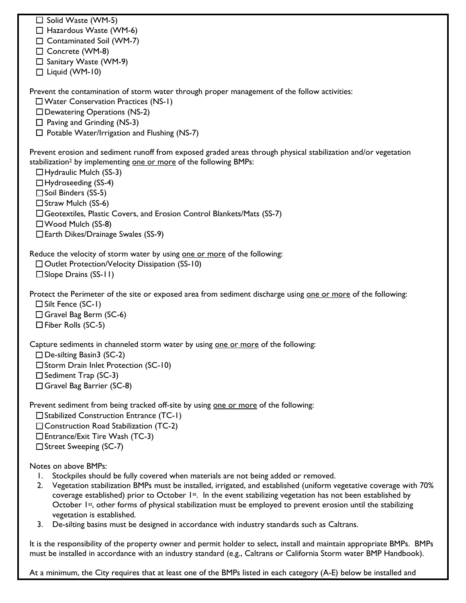| □ Solid Waste (WM-5)<br>$\Box$ Hazardous Waste (WM-6)<br>□ Contaminated Soil (WM-7)<br>□ Concrete (WM-8)<br>□ Sanitary Waste (WM-9)                                                                                                                                                                                                                                                                                                                                                                                                                                                                         |
|-------------------------------------------------------------------------------------------------------------------------------------------------------------------------------------------------------------------------------------------------------------------------------------------------------------------------------------------------------------------------------------------------------------------------------------------------------------------------------------------------------------------------------------------------------------------------------------------------------------|
| $\Box$ Liquid (WM-10)<br>Prevent the contamination of storm water through proper management of the follow activities:                                                                                                                                                                                                                                                                                                                                                                                                                                                                                       |
| $\square$ Water Conservation Practices (NS-1)<br>$\square$ Dewatering Operations (NS-2)<br>$\Box$ Paving and Grinding (NS-3)                                                                                                                                                                                                                                                                                                                                                                                                                                                                                |
| $\Box$ Potable Water/Irrigation and Flushing (NS-7)                                                                                                                                                                                                                                                                                                                                                                                                                                                                                                                                                         |
| Prevent erosion and sediment runoff from exposed graded areas through physical stabilization and/or vegetation<br>stabilization <sup>2</sup> by implementing one or more of the following BMPs:<br>$\Box$ Hydraulic Mulch (SS-3)<br>$\Box$ Hydroseeding (SS-4)<br>□ Soil Binders (SS-5)<br>$\Box$ Straw Mulch (SS-6)<br>□ Geotextiles, Plastic Covers, and Erosion Control Blankets/Mats (SS-7)<br>□ Wood Mulch (SS-8)<br>□ Earth Dikes/Drainage Swales (SS-9)                                                                                                                                              |
| Reduce the velocity of storm water by using one or more of the following:<br>□ Outlet Protection/Velocity Dissipation (SS-10)<br>$\square$ Slope Drains (SS-11)                                                                                                                                                                                                                                                                                                                                                                                                                                             |
| Protect the Perimeter of the site or exposed area from sediment discharge using one or more of the following:<br>$\Box$ Silt Fence (SC-1)<br>$\Box$ Gravel Bag Berm (SC-6)<br>$\Box$ Fiber Rolls (SC-5)                                                                                                                                                                                                                                                                                                                                                                                                     |
| Capture sediments in channeled storm water by using one or more of the following:<br>$\Box$ De-silting Basin3 (SC-2)<br>$\square$ Storm Drain Inlet Protection (SC-10)<br>$\Box$ Sediment Trap (SC-3)<br>□ Gravel Bag Barrier (SC-8)                                                                                                                                                                                                                                                                                                                                                                        |
| Prevent sediment from being tracked off-site by using one or more of the following:<br>□ Stabilized Construction Entrance (TC-1)<br>$\Box$ Construction Road Stabilization (TC-2)<br>$\Box$ Entrance/Exit Tire Wash (TC-3)<br>□ Street Sweeping (SC-7)                                                                                                                                                                                                                                                                                                                                                      |
| Notes on above BMPs:<br>Stockpiles should be fully covered when materials are not being added or removed.<br>Ι.<br>Vegetation stabilization BMPs must be installed, irrigated, and established (uniform vegetative coverage with 70%<br>2.<br>coverage established) prior to October 1st. In the event stabilizing vegetation has not been established by<br>October 1st, other forms of physical stabilization must be employed to prevent erosion until the stabilizing<br>vegetation is established.<br>De-silting basins must be designed in accordance with industry standards such as Caltrans.<br>3. |
| It is the responsibility of the property owner and permit holder to select, install and maintain appropriate BMPs. BMPs                                                                                                                                                                                                                                                                                                                                                                                                                                                                                     |

At a minimum, the City requires that at least one of the BMPs listed in each category (A-E) below be installed and

must be installed in accordance with an industry standard (e.g., Caltrans or California Storm water BMP Handbook).